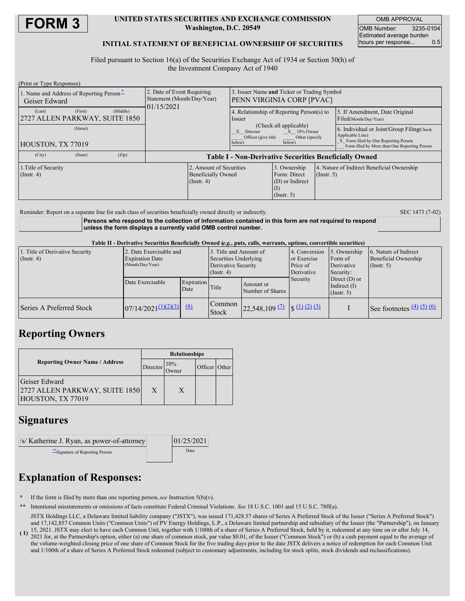

#### **UNITED STATES SECURITIES AND EXCHANGE COMMISSION Washington, D.C. 20549**

OMB APPROVAL OMB Number: 3235-0104 Estimated average burden hours per response... 0.5

### **INITIAL STATEMENT OF BENEFICIAL OWNERSHIP OF SECURITIES**

Filed pursuant to Section 16(a) of the Securities Exchange Act of 1934 or Section 30(h) of the Investment Company Act of 1940

| (Print or Type Responses)                                       |                                                                          |                                                                                                                                                                                  |                                                                     |                  |                                                                                                                                                       |  |
|-----------------------------------------------------------------|--------------------------------------------------------------------------|----------------------------------------------------------------------------------------------------------------------------------------------------------------------------------|---------------------------------------------------------------------|------------------|-------------------------------------------------------------------------------------------------------------------------------------------------------|--|
| 1. Name and Address of Reporting Person-<br>Geiser Edward       | 2. Date of Event Requiring<br>Statement (Month/Day/Year)<br>01/15/2021   | 3. Issuer Name and Ticker or Trading Symbol<br>PENN VIRGINIA CORP [PVAC]                                                                                                         |                                                                     |                  |                                                                                                                                                       |  |
| (First)<br>(Middle)<br>(Last)<br>2727 ALLEN PARKWAY, SUITE 1850 |                                                                          | 4. Relationship of Reporting Person(s) to<br>Issuer<br>(Check all applicable)<br>$X = 10\%$ Owner<br>Director<br>X<br>Officer (give title)<br>Other (specify<br>below)<br>below) |                                                                     |                  | 5. If Amendment, Date Original<br>Filed(Month/Day/Year)                                                                                               |  |
| (Street)<br>HOUSTON, TX 77019                                   |                                                                          |                                                                                                                                                                                  |                                                                     |                  | 6. Individual or Joint/Group Filing Check<br>Applicable Line)<br>X Form filed by One Reporting Person<br>Form filed by More than One Reporting Person |  |
| (City)<br>(State)<br>(Zip)                                      | <b>Table I - Non-Derivative Securities Beneficially Owned</b>            |                                                                                                                                                                                  |                                                                     |                  |                                                                                                                                                       |  |
| 1. Title of Security<br>(Insert, 4)                             | 2. Amount of Securities<br><b>Beneficially Owned</b><br>$($ Instr. 4 $)$ |                                                                                                                                                                                  | 3. Ownership<br>Form: Direct<br>(D) or Indirect<br>$($ Instr. 5 $)$ | $($ Instr. 5 $)$ | 4. Nature of Indirect Beneficial Ownership                                                                                                            |  |

Reminder: Report on a separate line for each class of securities beneficially owned directly or indirectly. SEC 1473 (7-02)

**Persons who respond to the collection of information contained in this form are not required to respond unless the form displays a currently valid OMB control number.**

Table II - Derivative Securities Beneficially Owned (e.g., puts, calls, warrants, options, convertible securities)

| 1. Title of Derivative Security<br>$($ Instr. 4 $)$ | 2. Date Exercisable and<br><b>Expiration Date</b><br>(Month/Day/Year) |                    | 3. Title and Amount of<br>Securities Underlying<br>Derivative Security<br>$($ Instr. 4 $)$ |                                                                                                   | 4. Conversion<br>or Exercise<br>Price of<br>Derivative | 5. Ownership<br>Form of<br>Derivative<br>Security: | 6. Nature of Indirect<br><b>Beneficial Ownership</b><br>(Insert. 5) |  |
|-----------------------------------------------------|-----------------------------------------------------------------------|--------------------|--------------------------------------------------------------------------------------------|---------------------------------------------------------------------------------------------------|--------------------------------------------------------|----------------------------------------------------|---------------------------------------------------------------------|--|
|                                                     | Date Exercisable                                                      | Expiration<br>Date | Title                                                                                      | Amount or<br>Number of Shares                                                                     | Security                                               | Direct $(D)$ or<br>Indirect $(I)$<br>(Insert, 5)   |                                                                     |  |
| Series A Preferred Stock                            | $07/14/2021^{(1)(2)(3)}$ (8)                                          |                    | Common<br><b>Stock</b>                                                                     | $\left  \frac{22,548,109}{2} \right $ $\left  \frac{11}{2} \right $ $\left  \frac{21}{2} \right $ |                                                        |                                                    | See footnotes $\frac{(4)(5)(6)}{2}$                                 |  |

## **Reporting Owners**

|                                                                      | <b>Relationships</b>     |   |               |  |  |
|----------------------------------------------------------------------|--------------------------|---|---------------|--|--|
| <b>Reporting Owner Name / Address</b>                                | 10%<br>Director<br>Owner |   | Officer Other |  |  |
| Geiser Edward<br>2727 ALLEN PARKWAY, SUITE 1850<br>HOUSTON, TX 77019 | X                        | X |               |  |  |

## **Signatures**

| /s/ Katherine J. Ryan, as power-of-attorney | 01/25/2021 |  |  |
|---------------------------------------------|------------|--|--|
| Signature of Reporting Person               | Date       |  |  |

# **Explanation of Responses:**

- **\*** If the form is filed by more than one reporting person,*see* Instruction 5(b)(v).
- **\*\*** Intentional misstatements or omissions of facts constitute Federal Criminal Violations. *See* 18 U.S.C. 1001 and 15 U.S.C. 78ff(a).

**( 1)** 15, 2021. JSTX may elect to have each Common Unit, together with 1/100th of a share of Series A Preferred Stock, held by it, redeemed at any time on or after July 14, JSTX Holdings LLC, a Delaware limited liability company ("JSTX"), was issued 171,428.57 shares of Series A Preferred Stock of the Issuer ("Series A Preferred Stock") and 17,142,857 Common Units ("Common Units") of PV Energy Holdings, L.P., a Delaware limited partnership and subsidiary of the Issuer (the "Partnership"), on January 2021 for, at the Partnership's option, either (a) one share of common stock, par value \$0.01, of the Issuer ("Common Stock") or (b) a cash payment equal to the average of

the volume-weighted closing price of one share of Common Stock for the five trading days prior to the date JSTX delivers a notice of redemption for each Common Unit and 1/100th of a share of Series A Preferred Stock redeemed (subject to customary adjustments, including for stock splits, stock dividends and reclassifications).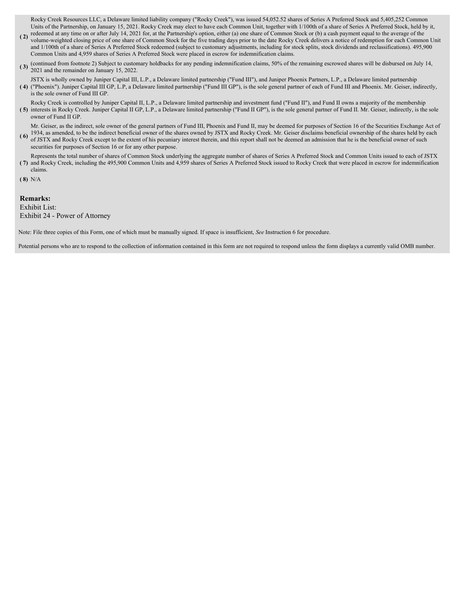Rocky Creek Resources LLC, a Delaware limited liability company ("Rocky Creek"), was issued 54,052.52 shares of Series A Preferred Stock and 5,405,252 Common Units of the Partnership, on January 15, 2021. Rocky Creek may elect to have each Common Unit, together with 1/100th of a share of Series A Preferred Stock, held by it,

- **(2)** redeemed at any time on or after July 14, 2021 for, at the Partnership's option, either (a) one share of Common Stock or (b) a cash payment equal to the average of the  $\frac{1}{2}$  cash payment equal to the average of t volume-weighted closing price of one share of Common Stock for the five trading days prior to the date Rocky Creek delivers a notice of redemption for each Common Unit and 1/100th of a share of Series A Preferred Stock redeemed (subject to customary adjustments, including for stock splits, stock dividends and reclassifications). 495,900 Common Units and 4,959 shares of Series A Preferred Stock were placed in escrow for indemnification claims.
- (3) (continued from footnote 2) Subject to customary holdbacks for any pending indemnification claims, 50% of the remaining escrowed shares will be disbursed on July 14, 2021 and the remainder on January 15, 2022.

**( 4)** JSTX is wholly owned by Juniper Capital III, L.P., a Delaware limited partnership ("Fund III"), and Juniper Phoenix Partners, L.P., a Delaware limited partnership ("Phoenix"). Juniper Capital III GP, L.P, a Delaware limited partnership ("Fund III GP"), is the sole general partner of each of Fund III and Phoenix. Mr. Geiser, indirectly, is the sole owner of Fund III GP.

**( 5)** interests in Rocky Creek. Juniper Capital II GP, L.P., a Delaware limited partnership ("Fund II GP"), is the sole general partner of Fund II. Mr. Geiser, indirectly, is the sole Rocky Creek is controlled by Juniper Capital II, L.P., a Delaware limited partnership and investment fund ("Fund II"), and Fund II owns a majority of the membership owner of Fund II GP.

**( 6)** Mr. Geiser, as the indirect, sole owner of the general partners of Fund III, Phoenix and Fund II, may be deemed for purposes of Section 16 of the Securities Exchange Act of 1934, as amended, to be the indirect beneficial owner of the shares owned by JSTX and Rocky Creek. Mr. Geiser disclaims beneficial ownership of the shares held by each of JSTX and Rocky Creek except to the extent of his pecuniary interest therein, and this report shall not be deemed an admission that he is the beneficial owner of such

securities for purposes of Section 16 or for any other purpose.

**( 7)** and Rocky Creek, including the 495,900 Common Units and 4,959 shares of Series A Preferred Stock issued to Rocky Creek that were placed in escrow for indemnification Represents the total number of shares of Common Stock underlying the aggregate number of shares of Series A Preferred Stock and Common Units issued to each of JSTX claims.

**( 8)** N/A

**Remarks:**

Exhibit List:

Exhibit 24 - Power of Attorney

Note: File three copies of this Form, one of which must be manually signed. If space is insufficient, *See* Instruction 6 for procedure.

Potential persons who are to respond to the collection of information contained in this form are not required to respond unless the form displays a currently valid OMB number.